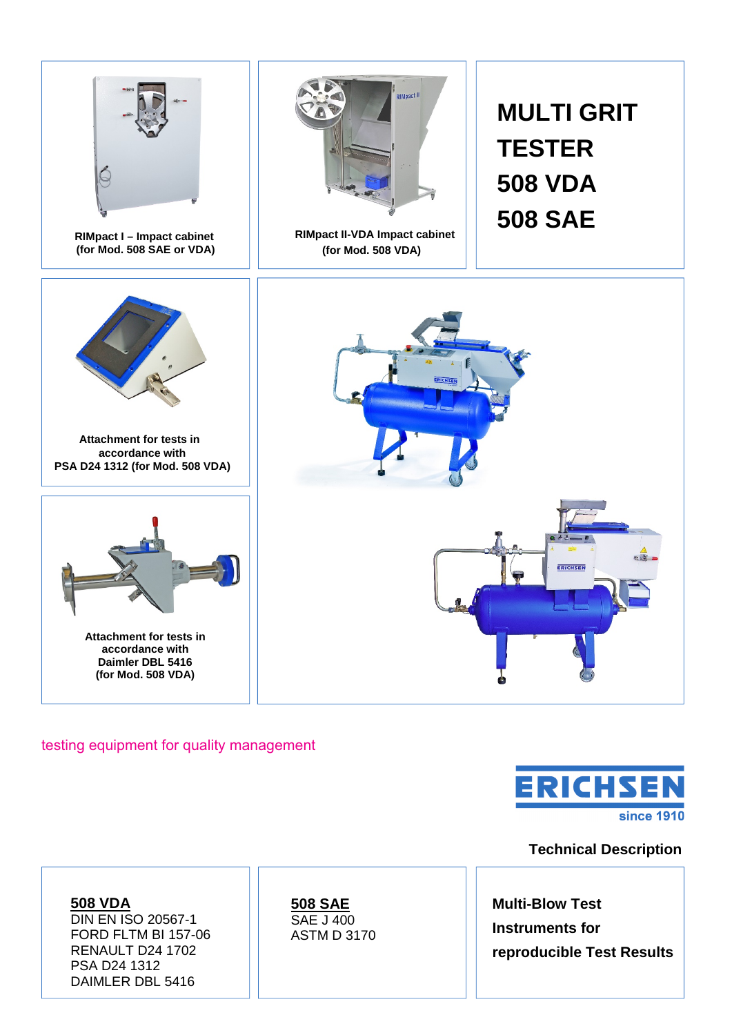

#### testing equipment for quality management



## **Technical Description**

**508 VDA** DIN EN ISO 20567-1 FORD FLTM BI 157-06 RENAULT D24 1702 PSA D24 1312 DAIMLER DBL 5416

**508 SAE** SAE J 400 ASTM D 3170

**Multi-Blow Test Instruments for reproducible Test Results**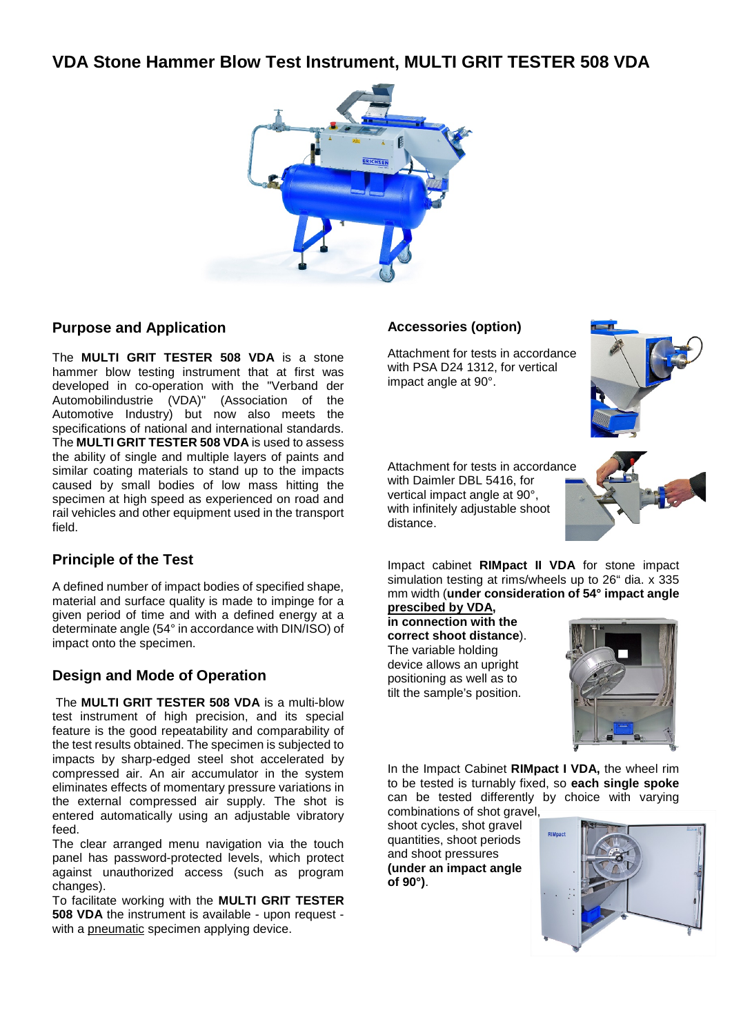# **VDA Stone Hammer Blow Test Instrument, MULTI GRIT TESTER 508 VDA**



### **Purpose and Application**

The **MULTI GRIT TESTER 508 VDA** is a stone hammer blow testing instrument that at first was developed in co-operation with the "Verband der Automobilindustrie (VDA)" (Association of the Automotive Industry) but now also meets the specifications of national and international standards. The **MULTI GRIT TESTER 508 VDA** is used to assess the ability of single and multiple layers of paints and similar coating materials to stand up to the impacts caused by small bodies of low mass hitting the specimen at high speed as experienced on road and rail vehicles and other equipment used in the transport field.

#### **Principle of the Test**

A defined number of impact bodies of specified shape, material and surface quality is made to impinge for a given period of time and with a defined energy at a determinate angle (54° in accordance with DIN/ISO) of impact onto the specimen.

## **Design and Mode of Operation**

The **MULTI GRIT TESTER 508 VDA** is a multi-blow test instrument of high precision, and its special feature is the good repeatability and comparability of the test results obtained. The specimen is subjected to impacts by sharp-edged steel shot accelerated by compressed air. An air accumulator in the system eliminates effects of momentary pressure variations in the external compressed air supply. The shot is entered automatically using an adjustable vibratory feed.

The clear arranged menu navigation via the touch panel has password-protected levels, which protect against unauthorized access (such as program changes).

To facilitate working with the **MULTI GRIT TESTER 508 VDA** the instrument is available - upon request with a pneumatic specimen applying device.

#### **Accessories (option)**

Attachment for tests in accordance with PSA D24 1312, for vertical impact angle at 90°.



Attachment for tests in accordance with Daimler DBL 5416, for vertical impact angle at 90°, with infinitely adjustable shoot distance.



Impact cabinet **RIMpact II VDA** for stone impact simulation testing at rims/wheels up to 26" dia. x 335 mm width (**under consideration of 54° impact angle** 

**prescibed by VDA, in connection with the correct shoot distance**). The variable holding device allows an upright positioning as well as to tilt the sample's position.



In the Impact Cabinet **RIMpact I VDA,** the wheel rim to be tested is turnably fixed, so **each single spoke** can be tested differently by choice with varying

combinations of shot gravel, shoot cycles, shot gravel quantities, shoot periods and shoot pressures **(under an impact angle of 90°)**.

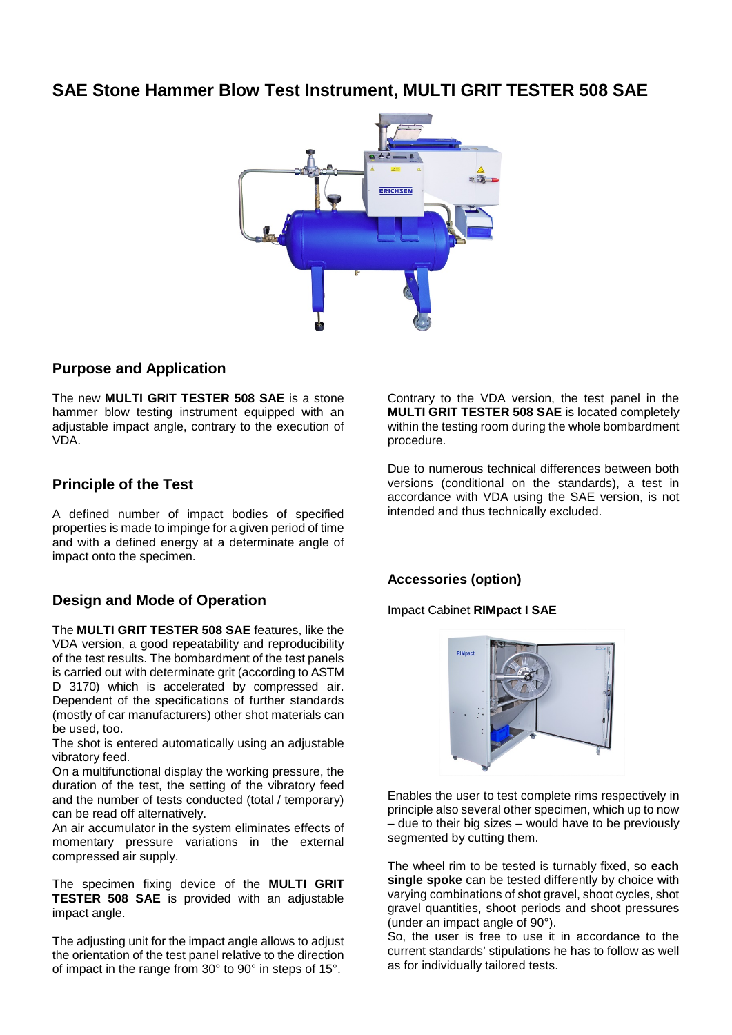# **SAE Stone Hammer Blow Test Instrument, MULTI GRIT TESTER 508 SAE**



#### **Purpose and Application**

The new **MULTI GRIT TESTER 508 SAE** is a stone hammer blow testing instrument equipped with an adjustable impact angle, contrary to the execution of VDA.

### **Principle of the Test**

A defined number of impact bodies of specified properties is made to impinge for a given period of time and with a defined energy at a determinate angle of impact onto the specimen.

## **Design and Mode of Operation**

The **MULTI GRIT TESTER 508 SAE** features, like the VDA version, a good repeatability and reproducibility of the test results. The bombardment of the test panels is carried out with determinate grit (according to ASTM D 3170) which is accelerated by compressed air. Dependent of the specifications of further standards (mostly of car manufacturers) other shot materials can be used, too.

The shot is entered automatically using an adjustable vibratory feed.

On a multifunctional display the working pressure, the duration of the test, the setting of the vibratory feed and the number of tests conducted (total / temporary) can be read off alternatively.

An air accumulator in the system eliminates effects of momentary pressure variations in the external compressed air supply.

The specimen fixing device of the **MULTI GRIT TESTER 508 SAE** is provided with an adjustable impact angle.

The adjusting unit for the impact angle allows to adjust the orientation of the test panel relative to the direction of impact in the range from 30° to 90° in steps of 15°.

Contrary to the VDA version, the test panel in the **MULTI GRIT TESTER 508 SAE** is located completely within the testing room during the whole bombardment procedure.

Due to numerous technical differences between both versions (conditional on the standards), a test in accordance with VDA using the SAE version, is not intended and thus technically excluded.

#### **Accessories (option)**

Impact Cabinet **RIMpact I SAE**



Enables the user to test complete rims respectively in principle also several other specimen, which up to now – due to their big sizes – would have to be previously segmented by cutting them.

The wheel rim to be tested is turnably fixed, so **each**  single spoke can be tested differently by choice with varying combinations of shot gravel, shoot cycles, shot gravel quantities, shoot periods and shoot pressures (under an impact angle of 90°).

So, the user is free to use it in accordance to the current standards' stipulations he has to follow as well as for individually tailored tests.